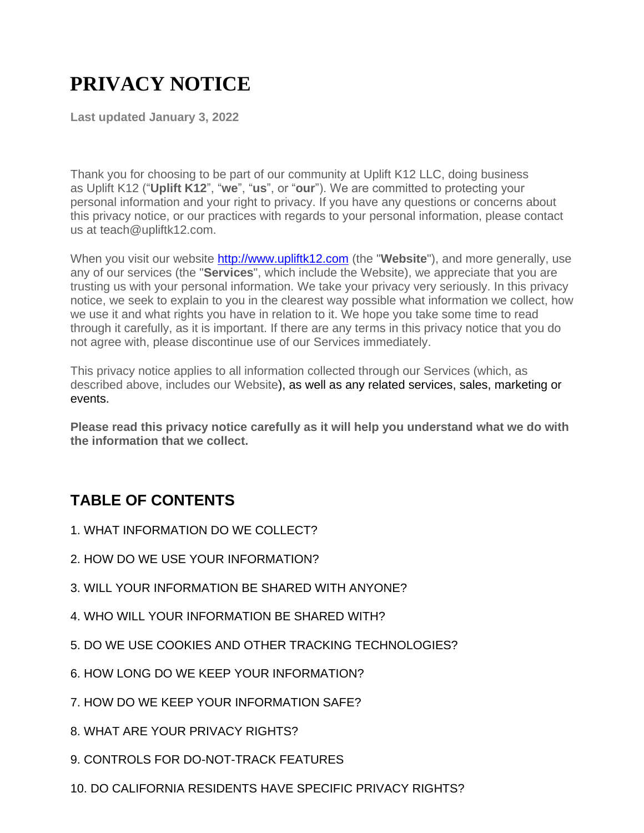# **PRIVACY NOTICE**

**Last updated January 3, 2022**

Thank you for choosing to be part of our community at Uplift K12 LLC, doing business as Uplift K12 ("**Uplift K12**", "**we**", "**us**", or "**our**"). We are committed to protecting your personal information and your right to privacy. If you have any questions or concerns about this privacy notice, or our practices with regards to your personal information, please contact us at teach@upliftk12.com.

When you visit our website **[http://www.upliftk12.com](http://www.upliftk12.com/)** (the "Website"), and more generally, use any of our services (the "**Services**", which include the Website), we appreciate that you are trusting us with your personal information. We take your privacy very seriously. In this privacy notice, we seek to explain to you in the clearest way possible what information we collect, how we use it and what rights you have in relation to it. We hope you take some time to read through it carefully, as it is important. If there are any terms in this privacy notice that you do not agree with, please discontinue use of our Services immediately.

This privacy notice applies to all information collected through our Services (which, as described above, includes our Website), as well as any related services, sales, marketing or events.

**Please read this privacy notice carefully as it will help you understand what we do with the information that we collect.**

# **TABLE OF CONTENTS**

- 1. WHAT INFORMATION DO WE COLLECT?
- 2. HOW DO WE USE YOUR INFORMATION?
- 3. WILL YOUR INFORMATION BE SHARED WITH ANYONE?
- 4. WHO WILL YOUR INFORMATION BE SHARED WITH?
- 5. DO WE USE COOKIES AND OTHER TRACKING TECHNOLOGIES?
- 6. HOW LONG DO WE KEEP YOUR INFORMATION?
- 7. HOW DO WE KEEP YOUR INFORMATION SAFE?
- 8. WHAT ARE YOUR PRIVACY RIGHTS?
- 9. CONTROLS FOR DO-NOT-TRACK FEATURES
- 10. DO CALIFORNIA RESIDENTS HAVE SPECIFIC PRIVACY RIGHTS?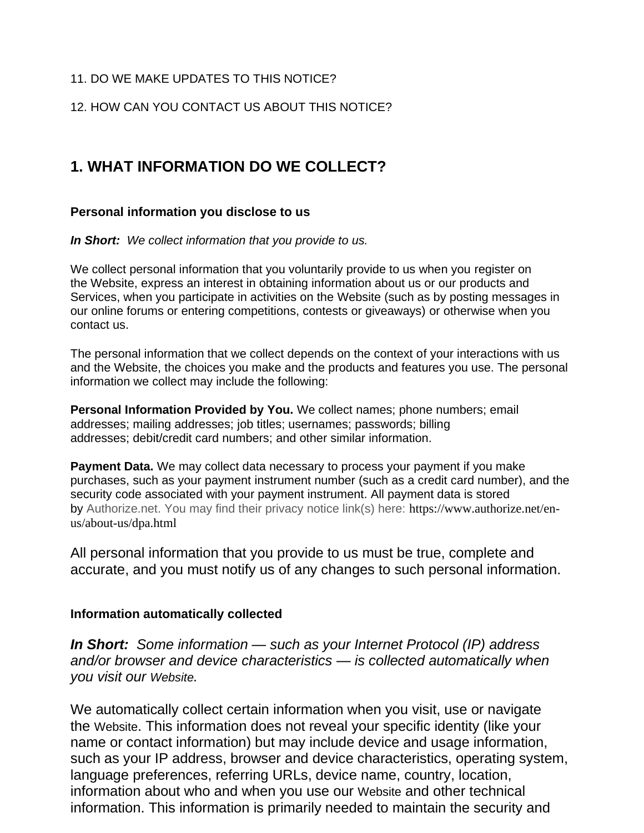#### 11. DO WE MAKE UPDATES TO THIS NOTICE?

12. HOW CAN YOU CONTACT US ABOUT THIS NOTICE?

### **1. WHAT INFORMATION DO WE COLLECT?**

#### **Personal information you disclose to us**

*In Short: We collect information that you provide to us.*

We collect personal information that you voluntarily provide to us when you register on the Website, express an interest in obtaining information about us or our products and Services, when you participate in activities on the Website (such as by posting messages in our online forums or entering competitions, contests or giveaways) or otherwise when you contact us.

The personal information that we collect depends on the context of your interactions with us and the Website, the choices you make and the products and features you use. The personal information we collect may include the following:

**Personal Information Provided by You.** We collect names; phone numbers; email addresses; mailing addresses; job titles; usernames; passwords; billing addresses; debit/credit card numbers; and other similar information.

**Payment Data.** We may collect data necessary to process your payment if you make purchases, such as your payment instrument number (such as a credit card number), and the security code associated with your payment instrument. All payment data is stored by Authorize.net. You may find their privacy notice link(s) here: https://www.authorize.net/enus/about-us/dpa.html

All personal information that you provide to us must be true, complete and accurate, and you must notify us of any changes to such personal information.

#### **Information automatically collected**

*In Short: Some information — such as your Internet Protocol (IP) address and/or browser and device characteristics — is collected automatically when you visit our Website.*

We automatically collect certain information when you visit, use or navigate the Website. This information does not reveal your specific identity (like your name or contact information) but may include device and usage information, such as your IP address, browser and device characteristics, operating system, language preferences, referring URLs, device name, country, location, information about who and when you use our Website and other technical information. This information is primarily needed to maintain the security and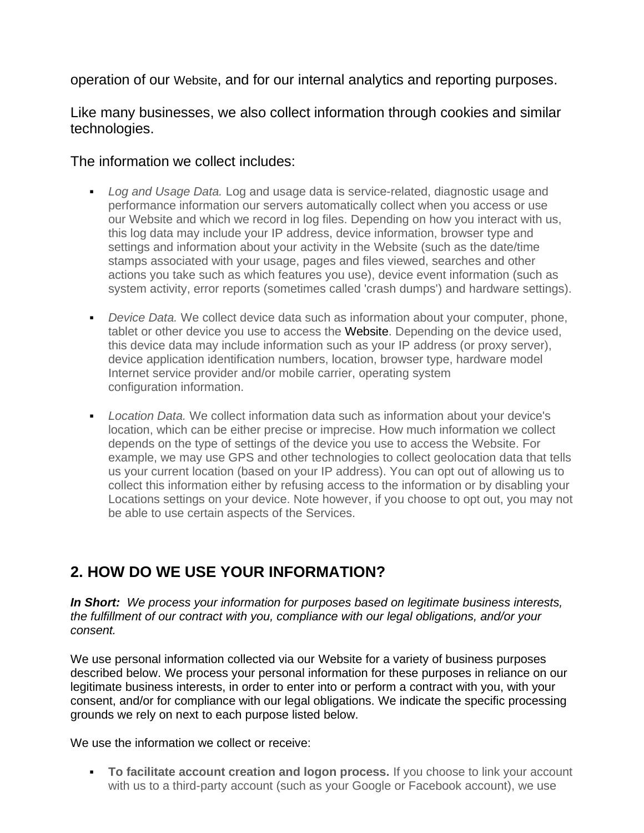operation of our Website, and for our internal analytics and reporting purposes.

Like many businesses, we also collect information through cookies and similar technologies.

The information we collect includes:

- *Log and Usage Data.* Log and usage data is service-related, diagnostic usage and performance information our servers automatically collect when you access or use our Website and which we record in log files. Depending on how you interact with us, this log data may include your IP address, device information, browser type and settings and information about your activity in the Website (such as the date/time stamps associated with your usage, pages and files viewed, searches and other actions you take such as which features you use), device event information (such as system activity, error reports (sometimes called 'crash dumps') and hardware settings).
- *Device Data.* We collect device data such as information about your computer, phone, tablet or other device you use to access the Website. Depending on the device used, this device data may include information such as your IP address (or proxy server), device application identification numbers, location, browser type, hardware model Internet service provider and/or mobile carrier, operating system configuration information.
- *Location Data.* We collect information data such as information about your device's location, which can be either precise or imprecise. How much information we collect depends on the type of settings of the device you use to access the Website. For example, we may use GPS and other technologies to collect geolocation data that tells us your current location (based on your IP address). You can opt out of allowing us to collect this information either by refusing access to the information or by disabling your Locations settings on your device. Note however, if you choose to opt out, you may not be able to use certain aspects of the Services.

# **2. HOW DO WE USE YOUR INFORMATION?**

*In Short: We process your information for purposes based on legitimate business interests, the fulfillment of our contract with you, compliance with our legal obligations, and/or your consent.*

We use personal information collected via our Website for a variety of business purposes described below. We process your personal information for these purposes in reliance on our legitimate business interests, in order to enter into or perform a contract with you, with your consent, and/or for compliance with our legal obligations. We indicate the specific processing grounds we rely on next to each purpose listed below.

We use the information we collect or receive:

**• To facilitate account creation and logon process.** If you choose to link your account with us to a third-party account (such as your Google or Facebook account), we use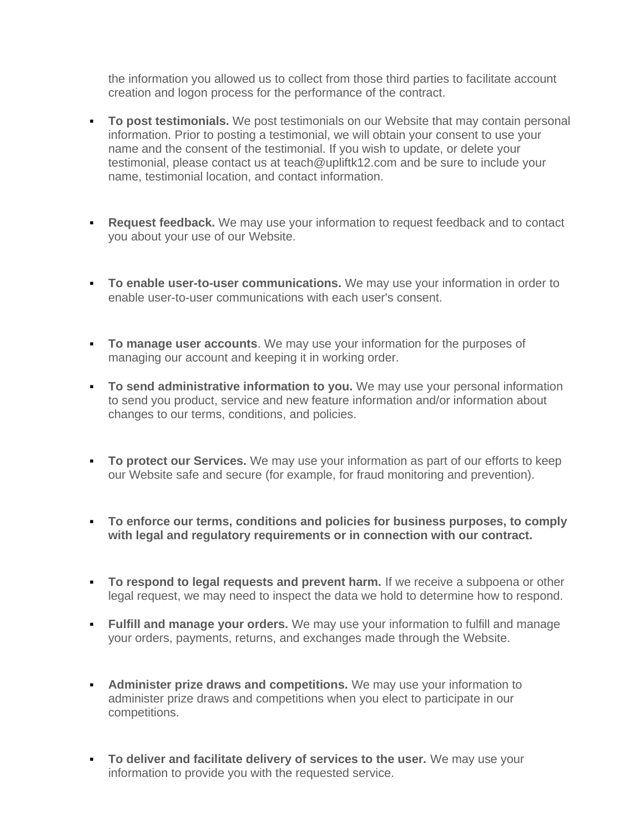the information you allowed us to collect from those third parties to facilitate account creation and logon process for the performance of the contract.

- **To post testimonials.** We post testimonials on our Website that may contain personal information. Prior to posting a testimonial, we will obtain your consent to use your name and the consent of the testimonial. If you wish to update, or delete your testimonial, please contact us at teach@upliftk12.com and be sure to include your name, testimonial location, and contact information.
- **Request feedback.** We may use your information to request feedback and to contact you about your use of our Website.
- **To enable user-to-user communications.** We may use your information in order to enable user-to-user communications with each user's consent.
- **To manage user accounts**. We may use your information for the purposes of managing our account and keeping it in working order.
- **To send administrative information to you.** We may use your personal information to send you product, service and new feature information and/or information about changes to our terms, conditions, and policies.
- **To protect our Services.** We may use your information as part of our efforts to keep our Website safe and secure (for example, for fraud monitoring and prevention).
- **To enforce our terms, conditions and policies for business purposes, to comply with legal and regulatory requirements or in connection with our contract.**
- **To respond to legal requests and prevent harm.** If we receive a subpoena or other legal request, we may need to inspect the data we hold to determine how to respond.
- **Eulfill and manage your orders.** We may use your information to fulfill and manage your orders, payments, returns, and exchanges made through the Website.
- **EXEDENT Administer prize draws and competitions.** We may use your information to administer prize draws and competitions when you elect to participate in our competitions.
- **To deliver and facilitate delivery of services to the user.** We may use your information to provide you with the requested service.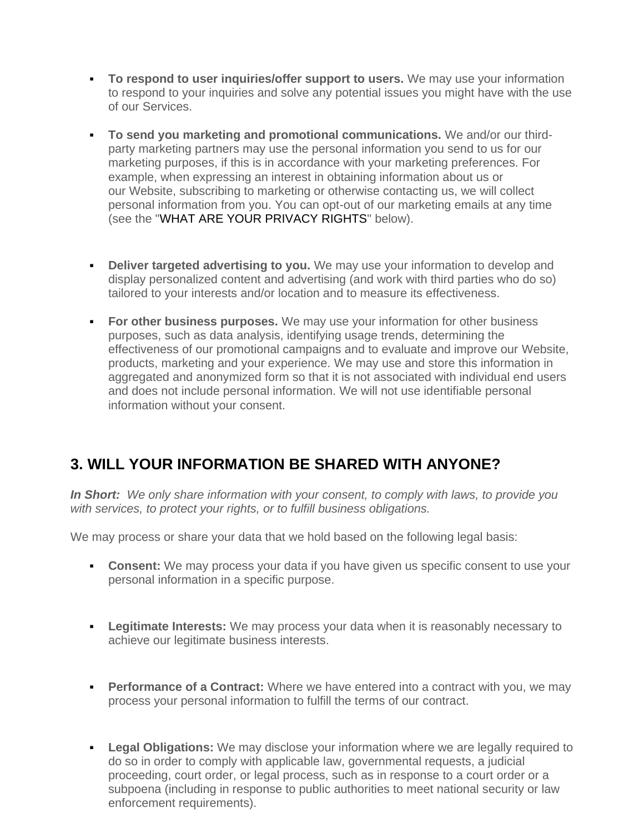- **To respond to user inquiries/offer support to users.** We may use your information to respond to your inquiries and solve any potential issues you might have with the use of our Services.
- **To send you marketing and promotional communications.** We and/or our thirdparty marketing partners may use the personal information you send to us for our marketing purposes, if this is in accordance with your marketing preferences. For example, when expressing an interest in obtaining information about us or our Website, subscribing to marketing or otherwise contacting us, we will collect personal information from you. You can opt-out of our marketing emails at any time (see the "WHAT ARE YOUR PRIVACY RIGHTS" below).
- **Deliver targeted advertising to you.** We may use your information to develop and display personalized content and advertising (and work with third parties who do so) tailored to your interests and/or location and to measure its effectiveness.
- **For other business purposes.** We may use your information for other business purposes, such as data analysis, identifying usage trends, determining the effectiveness of our promotional campaigns and to evaluate and improve our Website, products, marketing and your experience. We may use and store this information in aggregated and anonymized form so that it is not associated with individual end users and does not include personal information. We will not use identifiable personal information without your consent.

# **3. WILL YOUR INFORMATION BE SHARED WITH ANYONE?**

*In Short: We only share information with your consent, to comply with laws, to provide you with services, to protect your rights, or to fulfill business obligations.*

We may process or share your data that we hold based on the following legal basis:

- **Consent:** We may process your data if you have given us specific consent to use your personal information in a specific purpose.
- **Example 2** Legitimate Interests: We may process your data when it is reasonably necessary to achieve our legitimate business interests.
- **Performance of a Contract:** Where we have entered into a contract with you, we may process your personal information to fulfill the terms of our contract.
- **Legal Obligations:** We may disclose your information where we are legally required to do so in order to comply with applicable law, governmental requests, a judicial proceeding, court order, or legal process, such as in response to a court order or a subpoena (including in response to public authorities to meet national security or law enforcement requirements).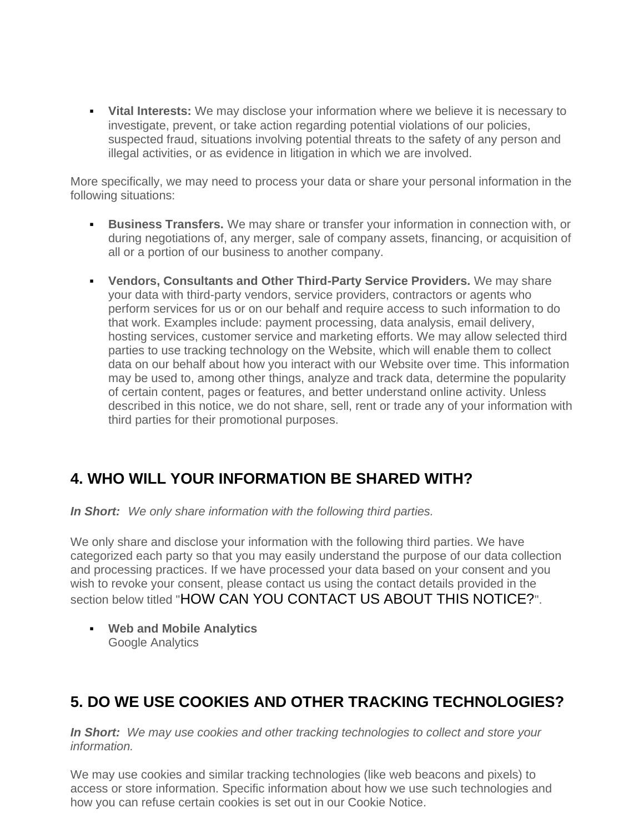▪ **Vital Interests:** We may disclose your information where we believe it is necessary to investigate, prevent, or take action regarding potential violations of our policies, suspected fraud, situations involving potential threats to the safety of any person and illegal activities, or as evidence in litigation in which we are involved.

More specifically, we may need to process your data or share your personal information in the following situations:

- **Business Transfers.** We may share or transfer your information in connection with, or during negotiations of, any merger, sale of company assets, financing, or acquisition of all or a portion of our business to another company.
- **Vendors, Consultants and Other Third-Party Service Providers.** We may share your data with third-party vendors, service providers, contractors or agents who perform services for us or on our behalf and require access to such information to do that work. Examples include: payment processing, data analysis, email delivery, hosting services, customer service and marketing efforts. We may allow selected third parties to use tracking technology on the Website, which will enable them to collect data on our behalf about how you interact with our Website over time. This information may be used to, among other things, analyze and track data, determine the popularity of certain content, pages or features, and better understand online activity. Unless described in this notice, we do not share, sell, rent or trade any of your information with third parties for their promotional purposes.

# **4. WHO WILL YOUR INFORMATION BE SHARED WITH?**

*In Short: We only share information with the following third parties.*

We only share and disclose your information with the following third parties. We have categorized each party so that you may easily understand the purpose of our data collection and processing practices. If we have processed your data based on your consent and you wish to revoke your consent, please contact us using the contact details provided in the section below titled "HOW CAN YOU CONTACT US ABOUT THIS NOTICE?".

▪ **Web and Mobile Analytics** Google Analytics

# **5. DO WE USE COOKIES AND OTHER TRACKING TECHNOLOGIES?**

*In Short: We may use cookies and other tracking technologies to collect and store your information.*

We may use cookies and similar tracking technologies (like web beacons and pixels) to access or store information. Specific information about how we use such technologies and how you can refuse certain cookies is set out in our Cookie Notice.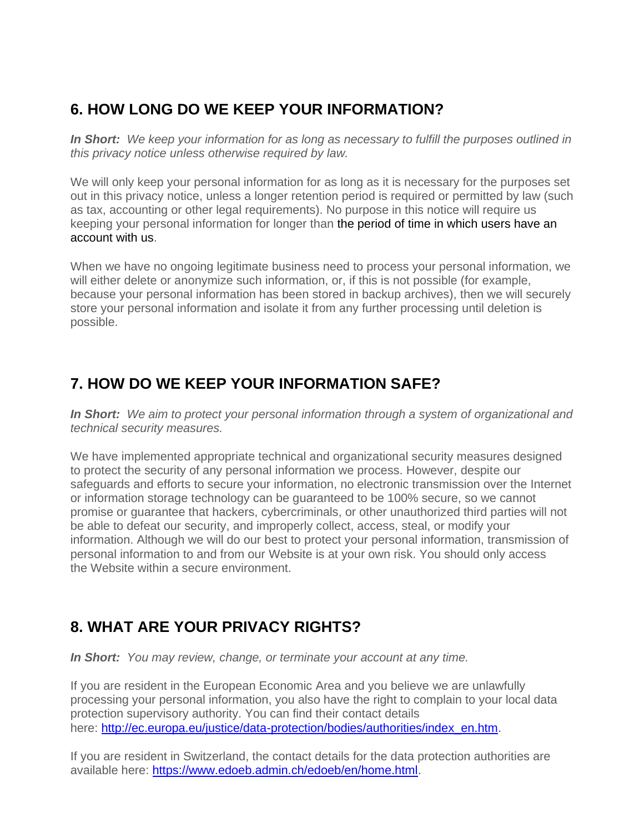# **6. HOW LONG DO WE KEEP YOUR INFORMATION?**

*In Short: We keep your information for as long as necessary to fulfill the purposes outlined in this privacy notice unless otherwise required by law.*

We will only keep your personal information for as long as it is necessary for the purposes set out in this privacy notice, unless a longer retention period is required or permitted by law (such as tax, accounting or other legal requirements). No purpose in this notice will require us keeping your personal information for longer than the period of time in which users have an account with us.

When we have no ongoing legitimate business need to process your personal information, we will either delete or anonymize such information, or, if this is not possible (for example, because your personal information has been stored in backup archives), then we will securely store your personal information and isolate it from any further processing until deletion is possible.

# **7. HOW DO WE KEEP YOUR INFORMATION SAFE?**

*In Short: We aim to protect your personal information through a system of organizational and technical security measures.*

We have implemented appropriate technical and organizational security measures designed to protect the security of any personal information we process. However, despite our safeguards and efforts to secure your information, no electronic transmission over the Internet or information storage technology can be guaranteed to be 100% secure, so we cannot promise or guarantee that hackers, cybercriminals, or other unauthorized third parties will not be able to defeat our security, and improperly collect, access, steal, or modify your information. Although we will do our best to protect your personal information, transmission of personal information to and from our Website is at your own risk. You should only access the Website within a secure environment.

# **8. WHAT ARE YOUR PRIVACY RIGHTS?**

*In Short: You may review, change, or terminate your account at any time.*

If you are resident in the European Economic Area and you believe we are unlawfully processing your personal information, you also have the right to complain to your local data protection supervisory authority. You can find their contact details here: [http://ec.europa.eu/justice/data-protection/bodies/authorities/index\\_en.htm.](http://ec.europa.eu/justice/data-protection/bodies/authorities/index_en.htm)

If you are resident in Switzerland, the contact details for the data protection authorities are available here: [https://www.edoeb.admin.ch/edoeb/en/home.html.](https://www.edoeb.admin.ch/edoeb/en/home.html)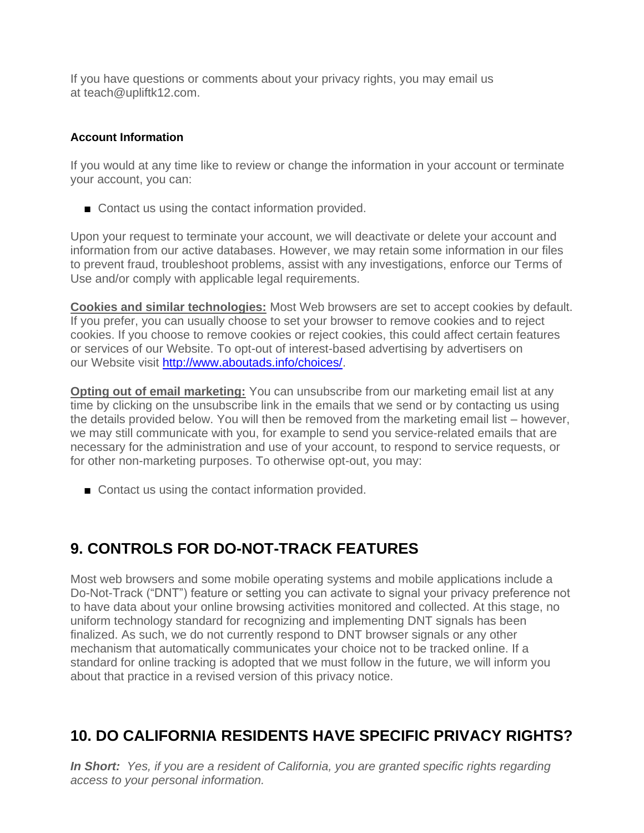If you have questions or comments about your privacy rights, you may email us at teach@upliftk12.com.

#### **Account Information**

If you would at any time like to review or change the information in your account or terminate your account, you can:

■ Contact us using the contact information provided.

Upon your request to terminate your account, we will deactivate or delete your account and information from our active databases. However, we may retain some information in our files to prevent fraud, troubleshoot problems, assist with any investigations, enforce our Terms of Use and/or comply with applicable legal requirements.

**Cookies and similar technologies:** Most Web browsers are set to accept cookies by default. If you prefer, you can usually choose to set your browser to remove cookies and to reject cookies. If you choose to remove cookies or reject cookies, this could affect certain features or services of our Website. To opt-out of interest-based advertising by advertisers on our Website visit [http://www.aboutads.info/choices/.](http://www.aboutads.info/choices/)

**Opting out of email marketing:** You can unsubscribe from our marketing email list at any time by clicking on the unsubscribe link in the emails that we send or by contacting us using the details provided below. You will then be removed from the marketing email list – however, we may still communicate with you, for example to send you service-related emails that are necessary for the administration and use of your account, to respond to service requests, or for other non-marketing purposes. To otherwise opt-out, you may:

■ Contact us using the contact information provided.

# **9. CONTROLS FOR DO-NOT-TRACK FEATURES**

Most web browsers and some mobile operating systems and mobile applications include a Do-Not-Track ("DNT") feature or setting you can activate to signal your privacy preference not to have data about your online browsing activities monitored and collected. At this stage, no uniform technology standard for recognizing and implementing DNT signals has been finalized. As such, we do not currently respond to DNT browser signals or any other mechanism that automatically communicates your choice not to be tracked online. If a standard for online tracking is adopted that we must follow in the future, we will inform you about that practice in a revised version of this privacy notice.

### **10. DO CALIFORNIA RESIDENTS HAVE SPECIFIC PRIVACY RIGHTS?**

*In Short: Yes, if you are a resident of California, you are granted specific rights regarding access to your personal information.*